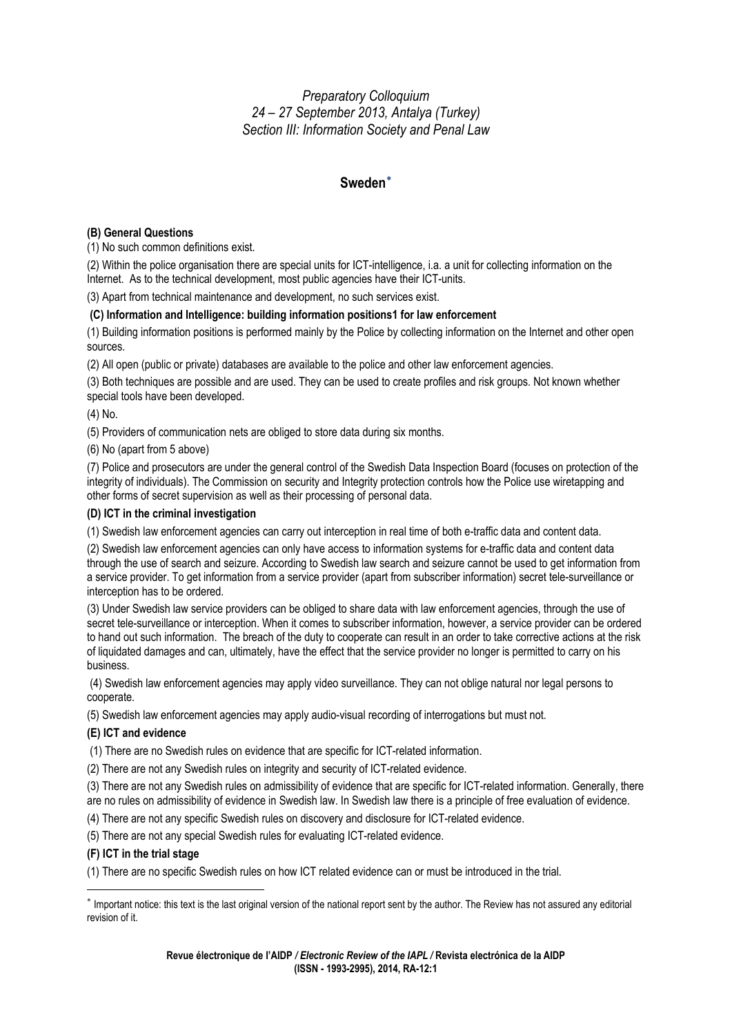*Preparatory Colloquium 24 – 27 September 2013, Antalya (Turkey) Section III: Information Society and Penal Law* 

# **Sweden**[∗](#page-0-0)

## **(B) General Questions**

(1) No such common definitions exist.

(2) Within the police organisation there are special units for ICT-intelligence, i.a. a unit for collecting information on the Internet. As to the technical development, most public agencies have their ICT-units.

(3) Apart from technical maintenance and development, no such services exist.

### **(C) Information and Intelligence: building information positions1 for law enforcement**

(1) Building information positions is performed mainly by the Police by collecting information on the Internet and other open sources.

(2) All open (public or private) databases are available to the police and other law enforcement agencies.

(3) Both techniques are possible and are used. They can be used to create profiles and risk groups. Not known whether special tools have been developed.

(4) No.

(5) Providers of communication nets are obliged to store data during six months.

(6) No (apart from 5 above)

(7) Police and prosecutors are under the general control of the Swedish Data Inspection Board (focuses on protection of the integrity of individuals). The Commission on security and Integrity protection controls how the Police use wiretapping and other forms of secret supervision as well as their processing of personal data.

### **(D) ICT in the criminal investigation**

(1) Swedish law enforcement agencies can carry out interception in real time of both e-traffic data and content data.

(2) Swedish law enforcement agencies can only have access to information systems for e-traffic data and content data through the use of search and seizure. According to Swedish law search and seizure cannot be used to get information from a service provider. To get information from a service provider (apart from subscriber information) secret tele-surveillance or interception has to be ordered.

(3) Under Swedish law service providers can be obliged to share data with law enforcement agencies, through the use of secret tele-surveillance or interception. When it comes to subscriber information, however, a service provider can be ordered to hand out such information. The breach of the duty to cooperate can result in an order to take corrective actions at the risk of liquidated damages and can, ultimately, have the effect that the service provider no longer is permitted to carry on his business.

 (4) Swedish law enforcement agencies may apply video surveillance. They can not oblige natural nor legal persons to cooperate.

(5) Swedish law enforcement agencies may apply audio-visual recording of interrogations but must not.

### **(E) ICT and evidence**

(1) There are no Swedish rules on evidence that are specific for ICT-related information.

(2) There are not any Swedish rules on integrity and security of ICT-related evidence.

(3) There are not any Swedish rules on admissibility of evidence that are specific for ICT-related information. Generally, there are no rules on admissibility of evidence in Swedish law. In Swedish law there is a principle of free evaluation of evidence.

(4) There are not any specific Swedish rules on discovery and disclosure for ICT-related evidence.

(5) There are not any special Swedish rules for evaluating ICT-related evidence.

### **(F) ICT in the trial stage**

(1) There are no specific Swedish rules on how ICT related evidence can or must be introduced in the trial.

<span id="page-0-0"></span><sup>∗</sup> Important notice: this text is the last original version of the national report sent by the author. The Review has not assured any editorial revision of it.